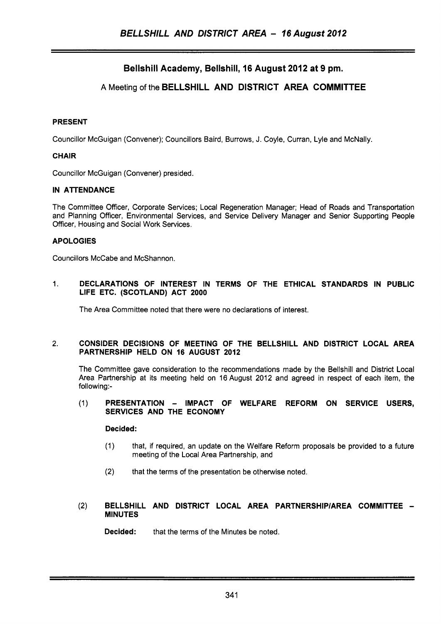# Bellshill Academy, Bellshill, **16** August **2012** at 9 pm.

## A Meeting of the BELLSHILL AND DISTRICT AREA COMMITTEE

### PRESENT

Councillor McGuigan (Convener); Councillors Baird, Burrows, J. Coyle, Curran, Lyle and McNally.

### CHAIR

Councillor McGuigan (Convener) presided.

### IN ATTENDANCE

The Committee Officer, Corporate Services; Local Regeneration Manager; Head of Roads and Transportation and Planning Officer, Environmental Services, and Service Delivery Manager and Senior Supporting People Officer, Housing and Social Work Services.

### APOLOGIES

Councillors McCabe and McShannon.

### 1. DECLARATIONS OF INTEREST IN TERMS OF THE ETHICAL STANDARDS IN PUBLIC LIFE ETC. (SCOTLAND) ACT **2000**

The Area Committee noted that there were no declarations of interest.

### 2. CONSIDER DECISIONS OF MEETING OF THE BELLSHILL AND DISTRICT LOCAL AREA PARTNERSHIP HELD ON **16** AUGUST **2012**

The Committee gave consideration to the recommendations made by the Bellshill and District Local Area Partnership at its meeting held on 16 August 2012 and agreed in respect of each item, the following:-

### (1) PRESENTATION - IMPACT OF WELFARE REFORM ON SERVICE USERS, SERVICES AND THE ECONOMY

### Decided:

- (1) that, if required, an update on the Welfare Reform proposals be provided to a future meeting of the Local Area Partnership, and
- (2) that the terms of the presentation be otherwise noted.

### (2) BELLSHILL AND DISTRICT LOCAL AREA PARTNERSHIP/AREA COMMITTEE -MINUTES

Decided: that the terms of the Minutes be noted.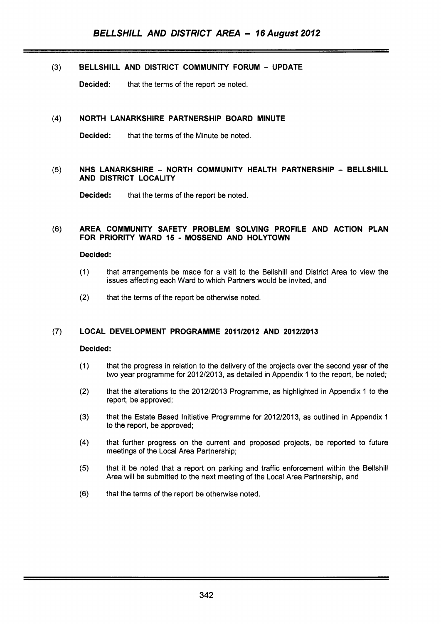### (3) **BELLSHILL AND DISTRICT COMMUNITY FORUM** - **UPDATE**

**Decided:** that the terms of the report be noted.

~~ ~ ~ ~~~~ ~ ~~ ~ ~

### **(4) NORTH LANARKSHIRE PARTNERSHIP BOARD MINUTE**

**Decided:** that the terms of the Minute be noted.

### (5) NHS LANARKSHIRE - NORTH COMMUNITY HEALTH PARTNERSHIP - BELLSHILL **AND DISTRICT LOCALITY**

**Decided:** that the terms of the report be noted.

#### **(6) AREA COMMUNITY SAFETY PROBLEM SOLVING PROFILE AND ACTION PLAN FOR PRIORITY WARD 15** - **MOSSEND AND HOLYTOWN**

#### **Decided:**

- (1) that arrangements be made for a visit to the Bellshill and District Area to view the issues affecting each Ward to which Partners would be invited, and
- (2) that the terms of the report be otherwise noted.

### **(7) LOCAL DEVELOPMENT PROGRAMME 201112012 AND 201212013**

#### **Decided:**

- $(1)$ that the progress in relation to the delivery of the projects over the second year of the two year programme for 2012/2013, as detailed in Appendix 1 to the report, be noted;
- $(2)$ that the alterations to the 2012/2013 Programme, as highlighted in Appendix 1 to the report, be approved;
- $(3)$ that the Estate Based Initiative Programme for 2012/2013, as outlined in Appendix 1 to the report, be approved;
- $(4)$ that further progress on the current and proposed projects, be reported to future meetings of the Local Area Partnership;
- $(5)$ that it be noted that a report on parking and traffic enforcement within the Bellshill Area will be submitted to the next meeting of the Local Area Partnership, and
- $(6)$ that the terms of the report be otherwise noted.